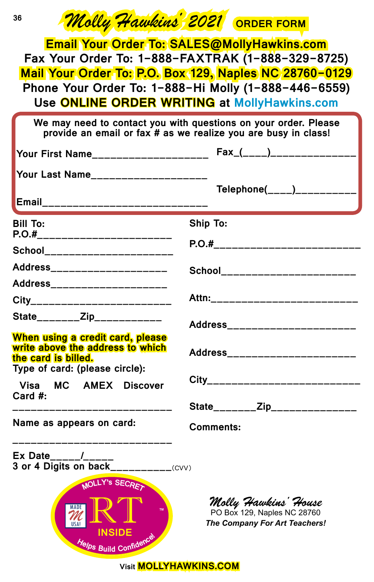| Molly Hawkins 2021 ORDER FORM<br>36                                                                                                                                                                                                                                |                                                                                             |  |  |  |  |
|--------------------------------------------------------------------------------------------------------------------------------------------------------------------------------------------------------------------------------------------------------------------|---------------------------------------------------------------------------------------------|--|--|--|--|
| Email Your Order To: SALES@MollyHawkins.com<br>Fax Your Order To: 1-888-FAXTRAK (1-888-329-8725)<br>Mail Your Order To: P.O. Box 129, Naples NC 28760-0129<br>Phone Your Order To: 1-888-Hi Molly (1-888-446-6559)<br>Use ONLINE ORDER WRITING at MollyHawkins.com |                                                                                             |  |  |  |  |
| We may need to contact you with questions on your order. Please<br>provide an email or fax # as we realize you are busy in class!                                                                                                                                  |                                                                                             |  |  |  |  |
| Your First Name_____________________                                                                                                                                                                                                                               | Fax_(____)_______________                                                                   |  |  |  |  |
| Your Last Name_____________________                                                                                                                                                                                                                                | Telephone(____)__________                                                                   |  |  |  |  |
| Email_______________________________                                                                                                                                                                                                                               |                                                                                             |  |  |  |  |
| <b>Bill To:</b><br>P.O.#_________________________                                                                                                                                                                                                                  | <b>Ship To:</b>                                                                             |  |  |  |  |
| School_______________________                                                                                                                                                                                                                                      | P.O.#____________________________                                                           |  |  |  |  |
| Address______________________                                                                                                                                                                                                                                      | School_______________________                                                               |  |  |  |  |
| Address__________________                                                                                                                                                                                                                                          |                                                                                             |  |  |  |  |
| City__________________________                                                                                                                                                                                                                                     | Attn:___________________________                                                            |  |  |  |  |
| State________Zip____________                                                                                                                                                                                                                                       | Address_______________________                                                              |  |  |  |  |
| When using a credit card, please<br>write above the address to which<br>the card is billed.<br>Type of card: (please circle):                                                                                                                                      | Address_______________________<br>City_____________________________                         |  |  |  |  |
| Visa MC AMEX Discover<br>Card $#$ :                                                                                                                                                                                                                                |                                                                                             |  |  |  |  |
| Name as appears on card:                                                                                                                                                                                                                                           | State________Zip_______________<br><b>Comments:</b>                                         |  |  |  |  |
| 3 or 4 Digits on back__________(CVV)                                                                                                                                                                                                                               |                                                                                             |  |  |  |  |
| MOLLY's SECRET<br><b>MADE</b><br><b>TM</b><br>USA!<br><b>INSIDE</b><br>Helps Build Confidence                                                                                                                                                                      | Molly Hawkins' House<br>PO Box 129, Naples NC 28760<br><b>The Company For Art Teachers!</b> |  |  |  |  |

#### **Visit MOLLYHAWKINS.COM**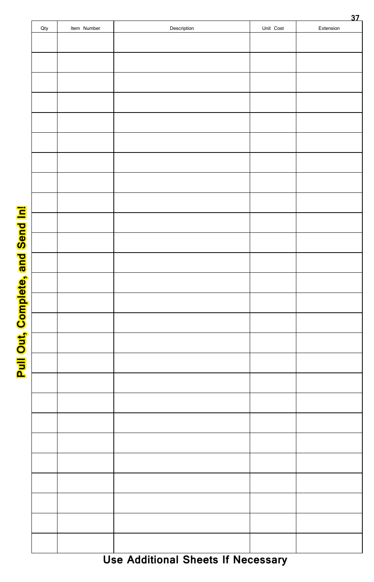| 37  |             |             |           |           |
|-----|-------------|-------------|-----------|-----------|
| Qty | Item Number | Description | Unit Cost | Extension |
|     |             |             |           |           |
|     |             |             |           |           |
|     |             |             |           |           |
|     |             |             |           |           |
|     |             |             |           |           |
|     |             |             |           |           |
|     |             |             |           |           |
|     |             |             |           |           |
|     |             |             |           |           |
|     |             |             |           |           |
|     |             |             |           |           |
|     |             |             |           |           |
|     |             |             |           |           |
|     |             |             |           |           |
|     |             |             |           |           |
|     |             |             |           |           |
|     |             |             |           |           |
|     |             |             |           |           |
|     |             |             |           |           |
|     |             |             |           |           |
|     |             |             |           |           |
|     |             |             |           |           |
|     |             |             |           |           |
|     |             |             |           |           |
|     |             |             |           |           |
|     |             |             |           |           |
|     |             |             |           |           |
|     |             |             |           |           |
|     |             |             |           |           |
|     |             |             |           |           |
|     |             |             |           |           |
|     |             |             |           |           |
|     |             |             |           |           |
|     |             |             |           |           |
|     |             |             |           |           |
|     |             |             |           |           |
|     |             |             |           |           |
|     |             |             |           |           |
|     |             |             |           |           |
|     |             |             |           |           |
|     |             |             |           |           |

**Pull Out, Complete, and Send In! Pull Out, Complete, and Send In!**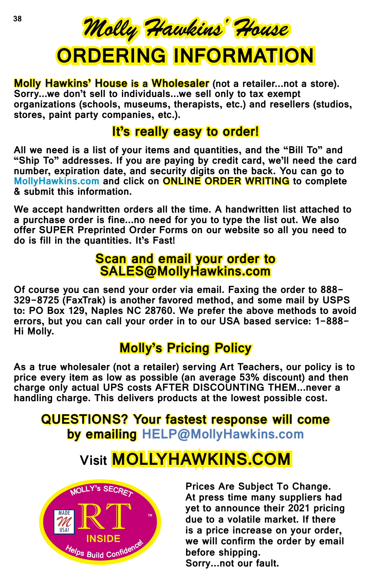

**Molly Hawkins' House is a Wholesaler** (not a retailer...not a store). **Sorry...we don't sell to individuals...we sell only to tax exempt organizations (schools, museums, therapists, etc.) and resellers (studios, stores, paint party companies, etc.).**

## **It's really easy to order!**

**All we need is a list of your items and quantities, and the "Bill To" and "Ship To" addresses. If you are paying by credit card, we'll need the card number, expiration date, and security digits on the back. You can go to MollyHawkins.com and click on ONLINE ORDER WRITING to complete & submit this information.**

**We accept handwritten orders all the time. A handwritten list attached to a purchase order is fine...no need for you to type the list out. We also offer SUPER Preprinted Order Forms on our website so all you need to do is fill in the quantities. It's Fast!**

#### **Scan and email your order to SALES@MollyHawkins.com**

**Of course you can send your order via email. Faxing the order to 888- 329-8725 (FaxTrak) is another favored method, and some mail by USPS to: PO Box 129, Naples NC 28760. We prefer the above methods to avoid errors, but you can call your order in to our USA based service: 1-888- Hi Molly.**

## **Molly's Pricing Policy**

**As a true wholesaler (not a retailer) serving Art Teachers, our policy is to price every item as low as possible (an average 53% discount) and then charge only actual UPS costs AFTER DISCOUNTING THEM...never a handling charge. This delivers products at the lowest possible cost.** 

### **QUESTIONS? Your fastest response will come by emailing HELP@MollyHawkins.com**

# **Visit MOLLYHAWKINS.COM**



**Prices Are Subject To Change. At press time many suppliers had yet to announce their 2021 pricing due to a volatile market. If there is a price increase on your order, we will confirm the order by email before shipping. Sorry...not our fault.**